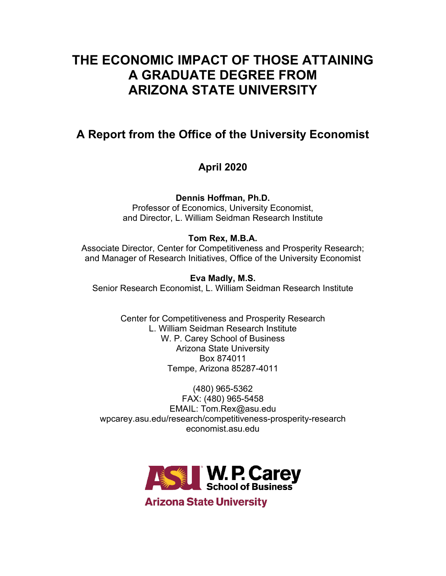# **THE ECONOMIC IMPACT OF THOSE ATTAINING A GRADUATE DEGREE FROM ARIZONA STATE UNIVERSITY**

# **A Report from the Office of the University Economist**

# **April 2020**

**Dennis Hoffman, Ph.D.**

Professor of Economics, University Economist, and Director, L. William Seidman Research Institute

# **Tom Rex, M.B.A.**

Associate Director, Center for Competitiveness and Prosperity Research; and Manager of Research Initiatives, Office of the University Economist

## **Eva Madly, M.S.**

Senior Research Economist, L. William Seidman Research Institute

Center for Competitiveness and Prosperity Research L. William Seidman Research Institute W. P. Carey School of Business Arizona State University Box 874011 Tempe, Arizona 85287-4011

(480) 965-5362 FAX: (480) 965-5458 EMAIL: Tom.Rex@asu.edu wpcarey.asu.edu/research/competitiveness-prosperity-research economist.asu.edu

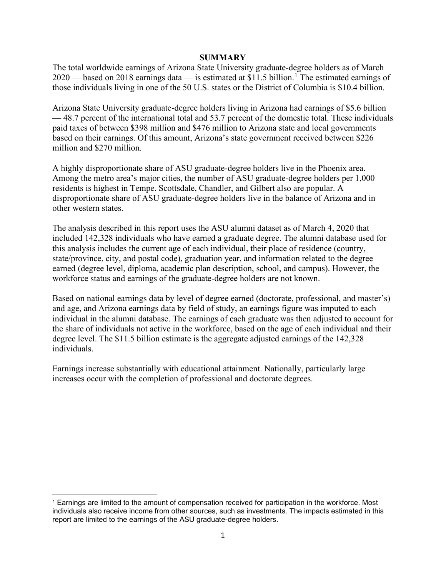#### **SUMMARY**

The total worldwide earnings of Arizona State University graduate-degree holders as of March  $2020$  — based on 20[1](#page-1-0)8 earnings data — is estimated at \$11.5 billion.<sup>1</sup> The estimated earnings of those individuals living in one of the 50 U.S. states or the District of Columbia is \$10.4 billion.

Arizona State University graduate-degree holders living in Arizona had earnings of \$5.6 billion — 48.7 percent of the international total and 53.7 percent of the domestic total. These individuals paid taxes of between \$398 million and \$476 million to Arizona state and local governments based on their earnings. Of this amount, Arizona's state government received between \$226 million and \$270 million.

A highly disproportionate share of ASU graduate-degree holders live in the Phoenix area. Among the metro area's major cities, the number of ASU graduate-degree holders per 1,000 residents is highest in Tempe. Scottsdale, Chandler, and Gilbert also are popular. A disproportionate share of ASU graduate-degree holders live in the balance of Arizona and in other western states.

The analysis described in this report uses the ASU alumni dataset as of March 4, 2020 that included 142,328 individuals who have earned a graduate degree. The alumni database used for this analysis includes the current age of each individual, their place of residence (country, state/province, city, and postal code), graduation year, and information related to the degree earned (degree level, diploma, academic plan description, school, and campus). However, the workforce status and earnings of the graduate-degree holders are not known.

Based on national earnings data by level of degree earned (doctorate, professional, and master's) and age, and Arizona earnings data by field of study, an earnings figure was imputed to each individual in the alumni database. The earnings of each graduate was then adjusted to account for the share of individuals not active in the workforce, based on the age of each individual and their degree level. The \$11.5 billion estimate is the aggregate adjusted earnings of the 142,328 individuals.

Earnings increase substantially with educational attainment. Nationally, particularly large increases occur with the completion of professional and doctorate degrees.

<span id="page-1-0"></span><sup>1</sup> Earnings are limited to the amount of compensation received for participation in the workforce. Most individuals also receive income from other sources, such as investments. The impacts estimated in this report are limited to the earnings of the ASU graduate-degree holders.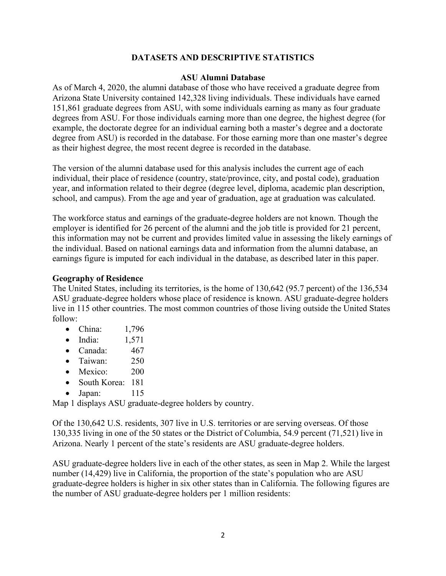## **DATASETS AND DESCRIPTIVE STATISTICS**

#### **ASU Alumni Database**

As of March 4, 2020, the alumni database of those who have received a graduate degree from Arizona State University contained 142,328 living individuals. These individuals have earned 151,861 graduate degrees from ASU, with some individuals earning as many as four graduate degrees from ASU. For those individuals earning more than one degree, the highest degree (for example, the doctorate degree for an individual earning both a master's degree and a doctorate degree from ASU) is recorded in the database. For those earning more than one master's degree as their highest degree, the most recent degree is recorded in the database.

The version of the alumni database used for this analysis includes the current age of each individual, their place of residence (country, state/province, city, and postal code), graduation year, and information related to their degree (degree level, diploma, academic plan description, school, and campus). From the age and year of graduation, age at graduation was calculated.

The workforce status and earnings of the graduate-degree holders are not known. Though the employer is identified for 26 percent of the alumni and the job title is provided for 21 percent, this information may not be current and provides limited value in assessing the likely earnings of the individual. Based on national earnings data and information from the alumni database, an earnings figure is imputed for each individual in the database, as described later in this paper.

#### **Geography of Residence**

The United States, including its territories, is the home of 130,642 (95.7 percent) of the 136,534 ASU graduate-degree holders whose place of residence is known. ASU graduate-degree holders live in 115 other countries. The most common countries of those living outside the United States follow:

- China: 1,796
- India: 1,571
- Canada: 467
- Taiwan: 250
- Mexico: 200
- South Korea: 181
- Japan: 115

Map 1 displays ASU graduate-degree holders by country.

Of the 130,642 U.S. residents, 307 live in U.S. territories or are serving overseas. Of those 130,335 living in one of the 50 states or the District of Columbia, 54.9 percent (71,521) live in Arizona. Nearly 1 percent of the state's residents are ASU graduate-degree holders.

ASU graduate-degree holders live in each of the other states, as seen in Map 2. While the largest number (14,429) live in California, the proportion of the state's population who are ASU graduate-degree holders is higher in six other states than in California. The following figures are the number of ASU graduate-degree holders per 1 million residents: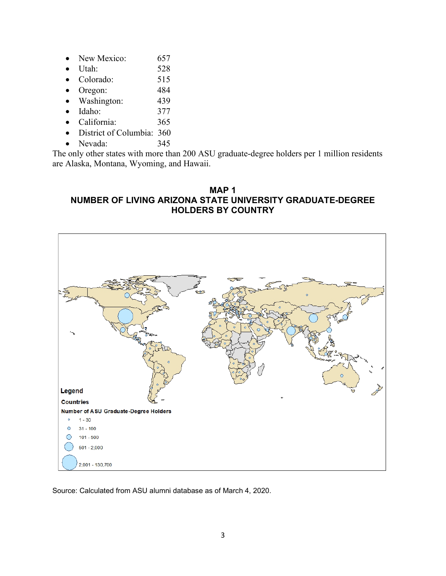- New Mexico: 657
- Utah: 528
- Colorado: 515
- Oregon: 484
- Washington: 439
- Idaho: 377
- California: 365
- District of Columbia: 360
- Nevada: 345

The only other states with more than 200 ASU graduate-degree holders per 1 million residents are Alaska, Montana, Wyoming, and Hawaii.

## **MAP 1 NUMBER OF LIVING ARIZONA STATE UNIVERSITY GRADUATE-DEGREE HOLDERS BY COUNTRY**

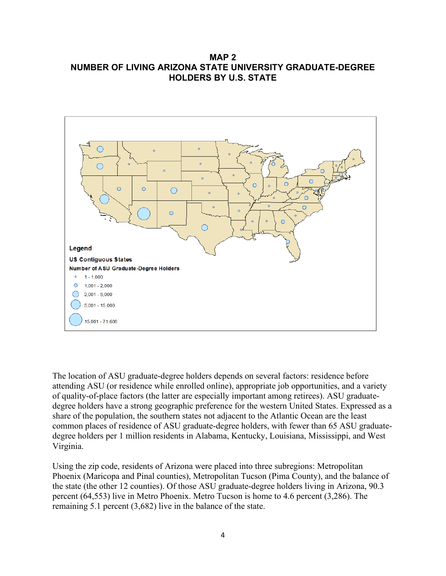## **MAP 2 NUMBER OF LIVING ARIZONA STATE UNIVERSITY GRADUATE-DEGREE HOLDERS BY U.S. STATE**



The location of ASU graduate-degree holders depends on several factors: residence before attending ASU (or residence while enrolled online), appropriate job opportunities, and a variety of quality-of-place factors (the latter are especially important among retirees). ASU graduatedegree holders have a strong geographic preference for the western United States. Expressed as a share of the population, the southern states not adjacent to the Atlantic Ocean are the least common places of residence of ASU graduate-degree holders, with fewer than 65 ASU graduatedegree holders per 1 million residents in Alabama, Kentucky, Louisiana, Mississippi, and West Virginia.

Using the zip code, residents of Arizona were placed into three subregions: Metropolitan Phoenix (Maricopa and Pinal counties), Metropolitan Tucson (Pima County), and the balance of the state (the other 12 counties). Of those ASU graduate-degree holders living in Arizona, 90.3 percent (64,553) live in Metro Phoenix. Metro Tucson is home to 4.6 percent (3,286). The remaining 5.1 percent (3,682) live in the balance of the state.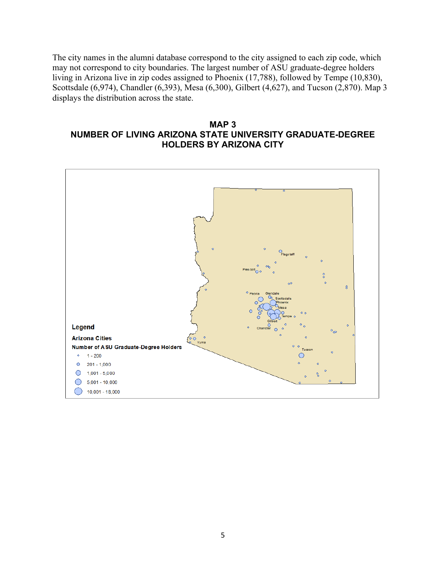The city names in the alumni database correspond to the city assigned to each zip code, which may not correspond to city boundaries. The largest number of ASU graduate-degree holders living in Arizona live in zip codes assigned to Phoenix (17,788), followed by Tempe (10,830), Scottsdale (6,974), Chandler (6,393), Mesa (6,300), Gilbert (4,627), and Tucson (2,870). Map 3 displays the distribution across the state.

## **MAP 3 NUMBER OF LIVING ARIZONA STATE UNIVERSITY GRADUATE-DEGREE HOLDERS BY ARIZONA CITY**

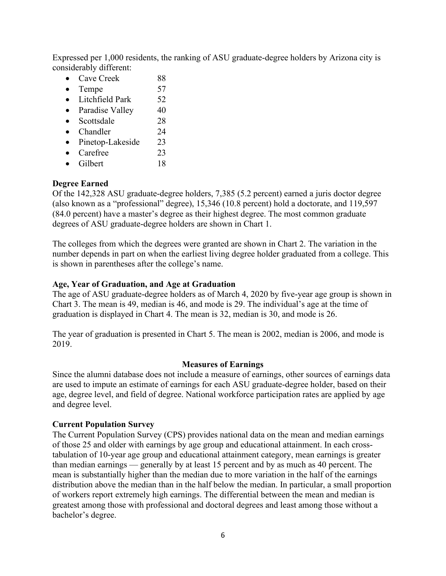Expressed per 1,000 residents, the ranking of ASU graduate-degree holders by Arizona city is considerably different:

- Cave Creek 88
- Tempe  $57$
- Litchfield Park 52
- Paradise Valley 40
- Scottsdale 28
- Chandler 24
- Pinetop-Lakeside 23
- Carefree 23
- Gilbert 18

## **Degree Earned**

Of the 142,328 ASU graduate-degree holders, 7,385 (5.2 percent) earned a juris doctor degree (also known as a "professional" degree), 15,346 (10.8 percent) hold a doctorate, and 119,597 (84.0 percent) have a master's degree as their highest degree. The most common graduate degrees of ASU graduate-degree holders are shown in Chart 1.

The colleges from which the degrees were granted are shown in Chart 2. The variation in the number depends in part on when the earliest living degree holder graduated from a college. This is shown in parentheses after the college's name.

### **Age, Year of Graduation, and Age at Graduation**

The age of ASU graduate-degree holders as of March 4, 2020 by five-year age group is shown in Chart 3. The mean is 49, median is 46, and mode is 29. The individual's age at the time of graduation is displayed in Chart 4. The mean is 32, median is 30, and mode is 26.

The year of graduation is presented in Chart 5. The mean is 2002, median is 2006, and mode is 2019.

#### **Measures of Earnings**

Since the alumni database does not include a measure of earnings, other sources of earnings data are used to impute an estimate of earnings for each ASU graduate-degree holder, based on their age, degree level, and field of degree. National workforce participation rates are applied by age and degree level.

#### **Current Population Survey**

The Current Population Survey (CPS) provides national data on the mean and median earnings of those 25 and older with earnings by age group and educational attainment. In each crosstabulation of 10-year age group and educational attainment category, mean earnings is greater than median earnings — generally by at least 15 percent and by as much as 40 percent. The mean is substantially higher than the median due to more variation in the half of the earnings distribution above the median than in the half below the median. In particular, a small proportion of workers report extremely high earnings. The differential between the mean and median is greatest among those with professional and doctoral degrees and least among those without a bachelor's degree.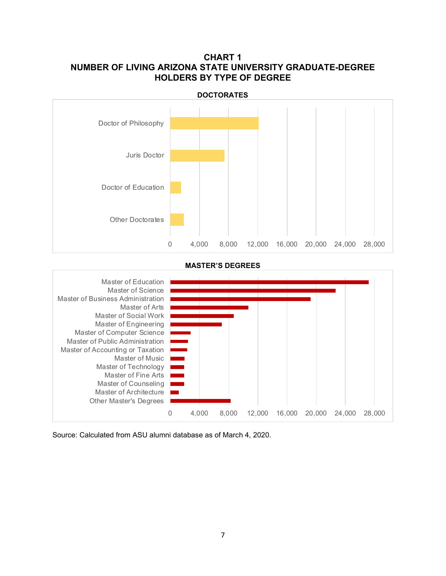## **CHART 1 NUMBER OF LIVING ARIZONA STATE UNIVERSITY GRADUATE-DEGREE HOLDERS BY TYPE OF DEGREE**



**MASTER'S DEGREES**

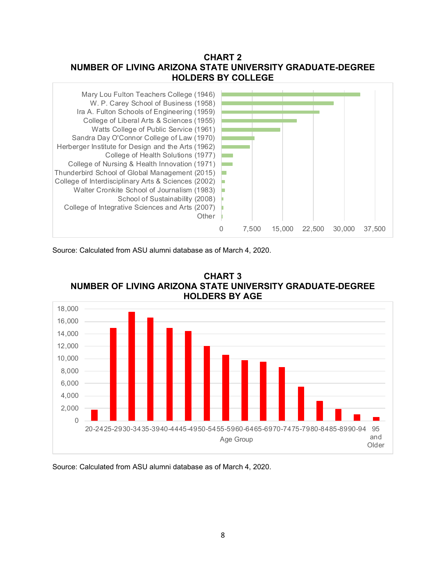## **CHART 2 NUMBER OF LIVING ARIZONA STATE UNIVERSITY GRADUATE-DEGREE HOLDERS BY COLLEGE**



Source: Calculated from ASU alumni database as of March 4, 2020.



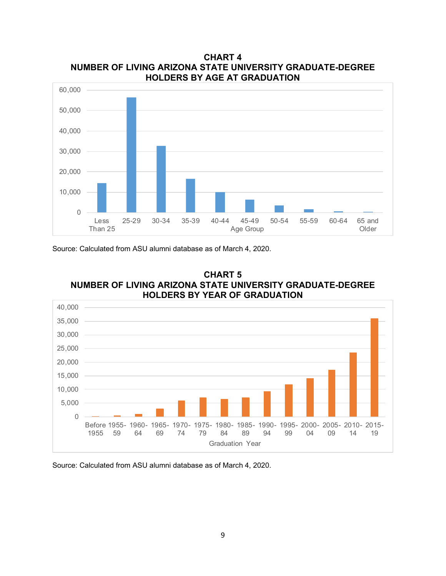

**CHART 4 NUMBER OF LIVING ARIZONA STATE UNIVERSITY GRADUATE-DEGREE HOLDERS BY AGE AT GRADUATION**

Source: Calculated from ASU alumni database as of March 4, 2020.



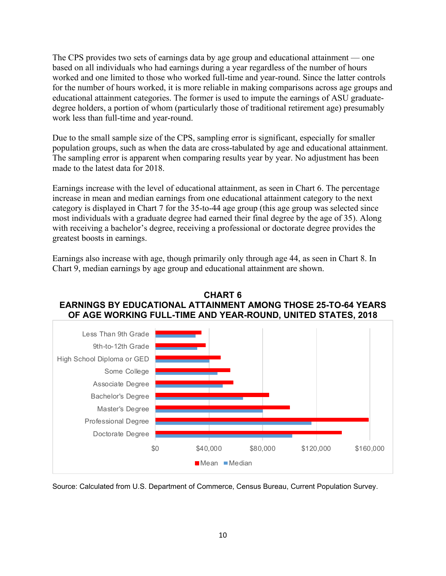The CPS provides two sets of earnings data by age group and educational attainment — one based on all individuals who had earnings during a year regardless of the number of hours worked and one limited to those who worked full-time and year-round. Since the latter controls for the number of hours worked, it is more reliable in making comparisons across age groups and educational attainment categories. The former is used to impute the earnings of ASU graduatedegree holders, a portion of whom (particularly those of traditional retirement age) presumably work less than full-time and year-round.

Due to the small sample size of the CPS, sampling error is significant, especially for smaller population groups, such as when the data are cross-tabulated by age and educational attainment. The sampling error is apparent when comparing results year by year. No adjustment has been made to the latest data for 2018.

Earnings increase with the level of educational attainment, as seen in Chart 6. The percentage increase in mean and median earnings from one educational attainment category to the next category is displayed in Chart 7 for the 35-to-44 age group (this age group was selected since most individuals with a graduate degree had earned their final degree by the age of 35). Along with receiving a bachelor's degree, receiving a professional or doctorate degree provides the greatest boosts in earnings.

Earnings also increase with age, though primarily only through age 44, as seen in Chart 8. In Chart 9, median earnings by age group and educational attainment are shown.



**CHART 6 EARNINGS BY EDUCATIONAL ATTAINMENT AMONG THOSE 25-TO-64 YEARS OF AGE WORKING FULL-TIME AND YEAR-ROUND, UNITED STATES, 2018**

Source: Calculated from U.S. Department of Commerce, Census Bureau, Current Population Survey.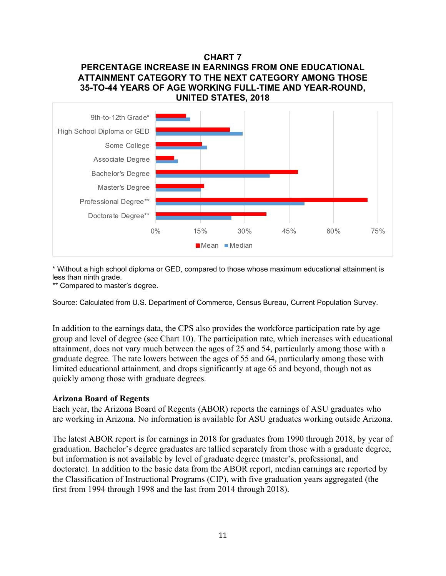## **CHART 7 PERCENTAGE INCREASE IN EARNINGS FROM ONE EDUCATIONAL ATTAINMENT CATEGORY TO THE NEXT CATEGORY AMONG THOSE 35-TO-44 YEARS OF AGE WORKING FULL-TIME AND YEAR-ROUND, UNITED STATES, 2018**



\* Without a high school diploma or GED, compared to those whose maximum educational attainment is less than ninth grade.

\*\* Compared to master's degree.

Source: Calculated from U.S. Department of Commerce, Census Bureau, Current Population Survey.

In addition to the earnings data, the CPS also provides the workforce participation rate by age group and level of degree (see Chart 10). The participation rate, which increases with educational attainment, does not vary much between the ages of 25 and 54, particularly among those with a graduate degree. The rate lowers between the ages of 55 and 64, particularly among those with limited educational attainment, and drops significantly at age 65 and beyond, though not as quickly among those with graduate degrees.

#### **Arizona Board of Regents**

Each year, the Arizona Board of Regents (ABOR) reports the earnings of ASU graduates who are working in Arizona. No information is available for ASU graduates working outside Arizona.

The latest ABOR report is for earnings in 2018 for graduates from 1990 through 2018, by year of graduation. Bachelor's degree graduates are tallied separately from those with a graduate degree, but information is not available by level of graduate degree (master's, professional, and doctorate). In addition to the basic data from the ABOR report, median earnings are reported by the Classification of Instructional Programs (CIP), with five graduation years aggregated (the first from 1994 through 1998 and the last from 2014 through 2018).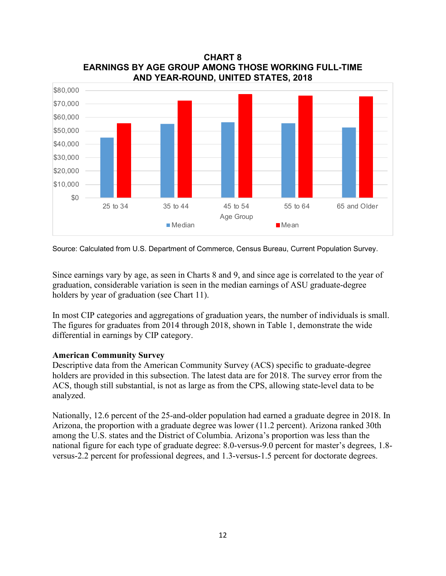

**CHART 8 EARNINGS BY AGE GROUP AMONG THOSE WORKING FULL-TIME AND YEAR-ROUND, UNITED STATES, 2018**

Source: Calculated from U.S. Department of Commerce, Census Bureau, Current Population Survey.

Since earnings vary by age, as seen in Charts 8 and 9, and since age is correlated to the year of graduation, considerable variation is seen in the median earnings of ASU graduate-degree holders by year of graduation (see Chart 11).

In most CIP categories and aggregations of graduation years, the number of individuals is small. The figures for graduates from 2014 through 2018, shown in Table 1, demonstrate the wide differential in earnings by CIP category.

#### **American Community Survey**

Descriptive data from the American Community Survey (ACS) specific to graduate-degree holders are provided in this subsection. The latest data are for 2018. The survey error from the ACS, though still substantial, is not as large as from the CPS, allowing state-level data to be analyzed.

Nationally, 12.6 percent of the 25-and-older population had earned a graduate degree in 2018. In Arizona, the proportion with a graduate degree was lower (11.2 percent). Arizona ranked 30th among the U.S. states and the District of Columbia. Arizona's proportion was less than the national figure for each type of graduate degree: 8.0-versus-9.0 percent for master's degrees, 1.8 versus-2.2 percent for professional degrees, and 1.3-versus-1.5 percent for doctorate degrees.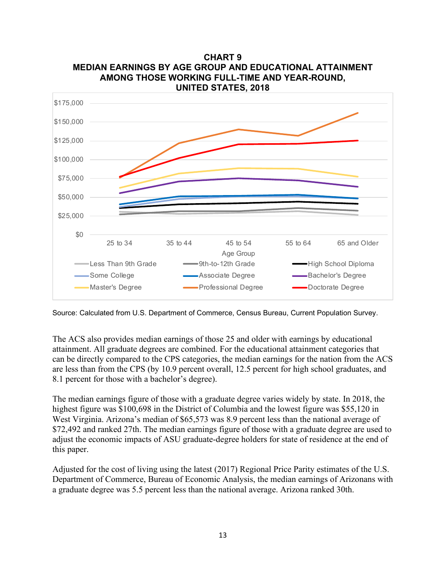

**CHART 9 MEDIAN EARNINGS BY AGE GROUP AND EDUCATIONAL ATTAINMENT AMONG THOSE WORKING FULL-TIME AND YEAR-ROUND,** 

Source: Calculated from U.S. Department of Commerce, Census Bureau, Current Population Survey.

The ACS also provides median earnings of those 25 and older with earnings by educational attainment. All graduate degrees are combined. For the educational attainment categories that can be directly compared to the CPS categories, the median earnings for the nation from the ACS are less than from the CPS (by 10.9 percent overall, 12.5 percent for high school graduates, and 8.1 percent for those with a bachelor's degree).

The median earnings figure of those with a graduate degree varies widely by state. In 2018, the highest figure was \$100,698 in the District of Columbia and the lowest figure was \$55,120 in West Virginia. Arizona's median of \$65,573 was 8.9 percent less than the national average of \$72,492 and ranked 27th. The median earnings figure of those with a graduate degree are used to adjust the economic impacts of ASU graduate-degree holders for state of residence at the end of this paper.

Adjusted for the cost of living using the latest (2017) Regional Price Parity estimates of the U.S. Department of Commerce, Bureau of Economic Analysis, the median earnings of Arizonans with a graduate degree was 5.5 percent less than the national average. Arizona ranked 30th.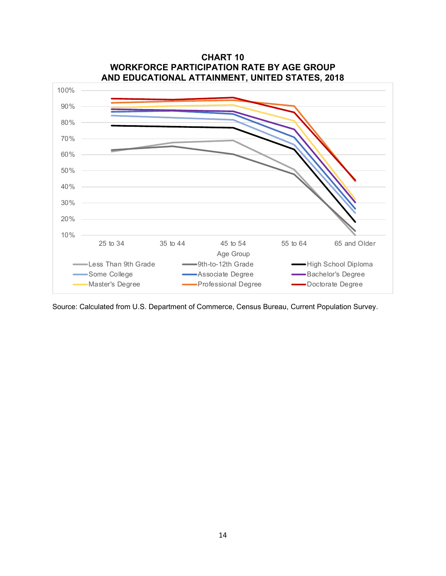

**CHART 10 WORKFORCE PARTICIPATION RATE BY AGE GROUP** 

Source: Calculated from U.S. Department of Commerce, Census Bureau, Current Population Survey.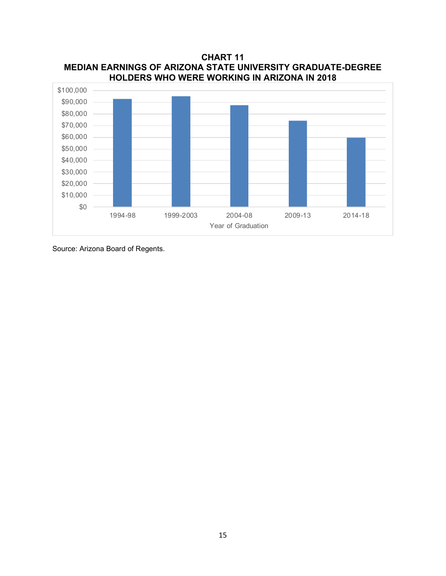**CHART 11 MEDIAN EARNINGS OF ARIZONA STATE UNIVERSITY GRADUATE-DEGREE HOLDERS WHO WERE WORKING IN ARIZONA IN 2018**



Source: Arizona Board of Regents.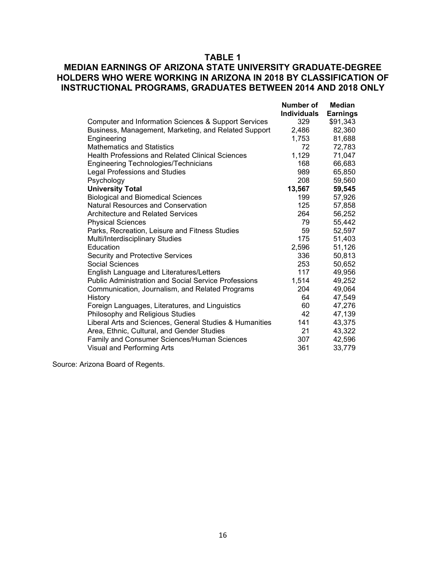## **TABLE 1**

## **MEDIAN EARNINGS OF ARIZONA STATE UNIVERSITY GRADUATE-DEGREE HOLDERS WHO WERE WORKING IN ARIZONA IN 2018 BY CLASSIFICATION OF INSTRUCTIONAL PROGRAMS, GRADUATES BETWEEN 2014 AND 2018 ONLY**

|                                                             | Number of          | Median          |
|-------------------------------------------------------------|--------------------|-----------------|
|                                                             | <b>Individuals</b> | <b>Earnings</b> |
| Computer and Information Sciences & Support Services        | 329                | \$91,343        |
| Business, Management, Marketing, and Related Support        | 2,486              | 82,360          |
| Engineering                                                 | 1,753              | 81,688          |
| <b>Mathematics and Statistics</b>                           | 72                 | 72,783          |
| <b>Health Professions and Related Clinical Sciences</b>     | 1,129              | 71,047          |
| <b>Engineering Technologies/Technicians</b>                 | 168                | 66,683          |
| <b>Legal Professions and Studies</b>                        | 989                | 65,850          |
| Psychology                                                  | 208                | 59,560          |
| <b>University Total</b>                                     | 13,567             | 59,545          |
| <b>Biological and Biomedical Sciences</b>                   | 199                | 57,926          |
| Natural Resources and Conservation                          | 125                | 57,858          |
| Architecture and Related Services                           | 264                | 56,252          |
| <b>Physical Sciences</b>                                    | 79                 | 55,442          |
| Parks, Recreation, Leisure and Fitness Studies              | 59                 | 52,597          |
| Multi/Interdisciplinary Studies                             | 175                | 51,403          |
| Education                                                   | 2,596              | 51,126          |
| Security and Protective Services                            | 336                | 50,813          |
| Social Sciences                                             | 253                | 50,652          |
| English Language and Literatures/Letters                    | 117                | 49,956          |
| <b>Public Administration and Social Service Professions</b> | 1,514              | 49,252          |
| Communication, Journalism, and Related Programs             | 204                | 49,064          |
| History                                                     | 64                 | 47,549          |
| Foreign Languages, Literatures, and Linguistics             | 60                 | 47,276          |
| Philosophy and Religious Studies                            | 42                 | 47,139          |
| Liberal Arts and Sciences, General Studies & Humanities     | 141                | 43,375          |
| Area, Ethnic, Cultural, and Gender Studies                  | 21                 | 43,322          |
| Family and Consumer Sciences/Human Sciences                 | 307                | 42,596          |
| <b>Visual and Performing Arts</b>                           | 361                | 33,779          |

Source: Arizona Board of Regents.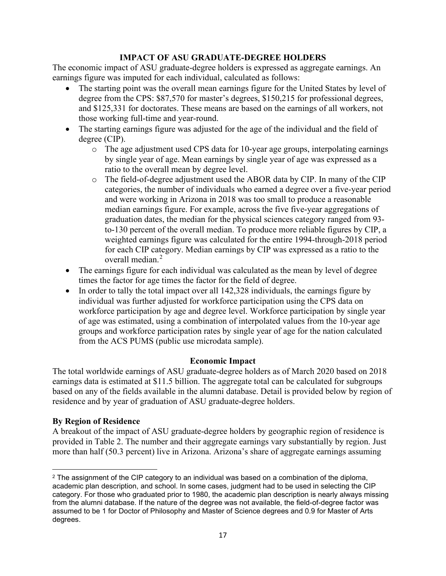## **IMPACT OF ASU GRADUATE-DEGREE HOLDERS**

The economic impact of ASU graduate-degree holders is expressed as aggregate earnings. An earnings figure was imputed for each individual, calculated as follows:

- The starting point was the overall mean earnings figure for the United States by level of degree from the CPS: \$87,570 for master's degrees, \$150,215 for professional degrees, and \$125,331 for doctorates. These means are based on the earnings of all workers, not those working full-time and year-round.
- The starting earnings figure was adjusted for the age of the individual and the field of degree (CIP).
	- o The age adjustment used CPS data for 10-year age groups, interpolating earnings by single year of age. Mean earnings by single year of age was expressed as a ratio to the overall mean by degree level.
	- o The field-of-degree adjustment used the ABOR data by CIP. In many of the CIP categories, the number of individuals who earned a degree over a five-year period and were working in Arizona in 2018 was too small to produce a reasonable median earnings figure. For example, across the five five-year aggregations of graduation dates, the median for the physical sciences category ranged from 93 to-130 percent of the overall median. To produce more reliable figures by CIP, a weighted earnings figure was calculated for the entire 1994-through-2018 period for each CIP category. Median earnings by CIP was expressed as a ratio to the overall median.[2](#page-17-0)
- The earnings figure for each individual was calculated as the mean by level of degree times the factor for age times the factor for the field of degree.
- In order to tally the total impact over all 142,328 individuals, the earnings figure by individual was further adjusted for workforce participation using the CPS data on workforce participation by age and degree level. Workforce participation by single year of age was estimated, using a combination of interpolated values from the 10-year age groups and workforce participation rates by single year of age for the nation calculated from the ACS PUMS (public use microdata sample).

#### **Economic Impact**

The total worldwide earnings of ASU graduate-degree holders as of March 2020 based on 2018 earnings data is estimated at \$11.5 billion. The aggregate total can be calculated for subgroups based on any of the fields available in the alumni database. Detail is provided below by region of residence and by year of graduation of ASU graduate-degree holders.

## **By Region of Residence**

A breakout of the impact of ASU graduate-degree holders by geographic region of residence is provided in Table 2. The number and their aggregate earnings vary substantially by region. Just more than half (50.3 percent) live in Arizona. Arizona's share of aggregate earnings assuming

<span id="page-17-0"></span> $2$  The assignment of the CIP category to an individual was based on a combination of the diploma, academic plan description, and school. In some cases, judgment had to be used in selecting the CIP category. For those who graduated prior to 1980, the academic plan description is nearly always missing from the alumni database. If the nature of the degree was not available, the field-of-degree factor was assumed to be 1 for Doctor of Philosophy and Master of Science degrees and 0.9 for Master of Arts degrees.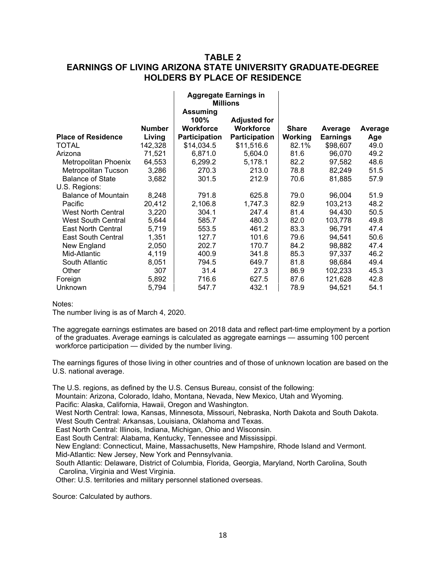## **TABLE 2 EARNINGS OF LIVING ARIZONA STATE UNIVERSITY GRADUATE-DEGREE HOLDERS BY PLACE OF RESIDENCE**

**Aggregate Earnings in** 

 $\sim 1$ 

 $\mathbf{L}$ 

|                            |               | Ayyıcyalc Lammyə in<br><b>Millions</b> |                     |              |                 |         |
|----------------------------|---------------|----------------------------------------|---------------------|--------------|-----------------|---------|
|                            |               | <b>Assuming</b><br>100%                | <b>Adjusted for</b> |              |                 |         |
|                            | <b>Number</b> | Workforce                              | <b>Workforce</b>    | <b>Share</b> | Average         | Average |
| <b>Place of Residence</b>  | Living        | <b>Participation</b>                   | Participation       | Working      | <b>Earnings</b> | Age     |
| <b>TOTAL</b>               | 142,328       | \$14,034.5                             | \$11,516.6          | 82.1%        | \$98,607        | 49.0    |
| Arizona                    | 71,521        | 6,871.0                                | 5,604.0             | 81.6         | 96,070          | 49.2    |
| Metropolitan Phoenix       | 64,553        | 6,299.2                                | 5,178.1             | 82.2         | 97,582          | 48.6    |
| Metropolitan Tucson        | 3,286         | 270.3                                  | 213.0               | 78.8         | 82,249          | 51.5    |
| <b>Balance of State</b>    | 3,682         | 301.5                                  | 212.9               | 70.6         | 81,885          | 57.9    |
| U.S. Regions:              |               |                                        |                     |              |                 |         |
| <b>Balance of Mountain</b> | 8,248         | 791.8                                  | 625.8               | 79.0         | 96,004          | 51.9    |
| Pacific                    | 20,412        | 2,106.8                                | 1,747.3             | 82.9         | 103,213         | 48.2    |
| <b>West North Central</b>  | 3,220         | 304.1                                  | 247.4               | 81.4         | 94,430          | 50.5    |
| <b>West South Central</b>  | 5,644         | 585.7                                  | 480.3               | 82.0         | 103,778         | 49.8    |
| East North Central         | 5,719         | 553.5                                  | 461.2               | 83.3         | 96,791          | 47.4    |
| <b>East South Central</b>  | 1,351         | 127.7                                  | 101.6               | 79.6         | 94,541          | 50.6    |
| New England                | 2,050         | 202.7                                  | 170.7               | 84.2         | 98,882          | 47.4    |
| Mid-Atlantic               | 4,119         | 400.9                                  | 341.8               | 85.3         | 97,337          | 46.2    |
| South Atlantic             | 8,051         | 794.5                                  | 649.7               | 81.8         | 98,684          | 49.4    |
| Other                      | 307           | 31.4                                   | 27.3                | 86.9         | 102,233         | 45.3    |
| Foreign                    | 5,892         | 716.6                                  | 627.5               | 87.6         | 121,628         | 42.8    |
| Unknown                    | 5,794         | 547.7                                  | 432.1               | 78.9         | 94,521          | 54.1    |

Notes:

The number living is as of March 4, 2020.

The aggregate earnings estimates are based on 2018 data and reflect part-time employment by a portion of the graduates. Average earnings is calculated as aggregate earnings — assuming 100 percent workforce participation — divided by the number living.

The earnings figures of those living in other countries and of those of unknown location are based on the U.S. national average.

The U.S. regions, as defined by the U.S. Census Bureau, consist of the following:

Mountain: Arizona, Colorado, Idaho, Montana, Nevada, New Mexico, Utah and Wyoming. Pacific: Alaska, California, Hawaii, Oregon and Washington.

West North Central: Iowa, Kansas, Minnesota, Missouri, Nebraska, North Dakota and South Dakota. West South Central: Arkansas, Louisiana, Oklahoma and Texas.

East North Central: Illinois, Indiana, Michigan, Ohio and Wisconsin.

East South Central: Alabama, Kentucky, Tennessee and Mississippi.

New England: Connecticut, Maine, Massachusetts, New Hampshire, Rhode Island and Vermont. Mid-Atlantic: New Jersey, New York and Pennsylvania.

South Atlantic: Delaware, District of Columbia, Florida, Georgia, Maryland, North Carolina, South Carolina, Virginia and West Virginia.

Other: U.S. territories and military personnel stationed overseas.

Source: Calculated by authors.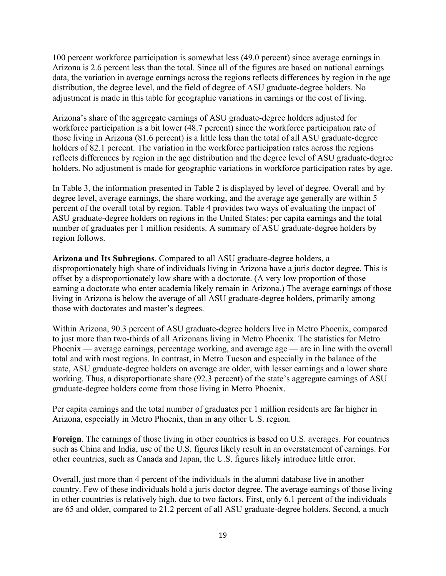100 percent workforce participation is somewhat less (49.0 percent) since average earnings in Arizona is 2.6 percent less than the total. Since all of the figures are based on national earnings data, the variation in average earnings across the regions reflects differences by region in the age distribution, the degree level, and the field of degree of ASU graduate-degree holders. No adjustment is made in this table for geographic variations in earnings or the cost of living.

Arizona's share of the aggregate earnings of ASU graduate-degree holders adjusted for workforce participation is a bit lower (48.7 percent) since the workforce participation rate of those living in Arizona (81.6 percent) is a little less than the total of all ASU graduate-degree holders of 82.1 percent. The variation in the workforce participation rates across the regions reflects differences by region in the age distribution and the degree level of ASU graduate-degree holders. No adjustment is made for geographic variations in workforce participation rates by age.

In Table 3, the information presented in Table 2 is displayed by level of degree. Overall and by degree level, average earnings, the share working, and the average age generally are within 5 percent of the overall total by region. Table 4 provides two ways of evaluating the impact of ASU graduate-degree holders on regions in the United States: per capita earnings and the total number of graduates per 1 million residents. A summary of ASU graduate-degree holders by region follows.

**Arizona and Its Subregions**. Compared to all ASU graduate-degree holders, a disproportionately high share of individuals living in Arizona have a juris doctor degree. This is offset by a disproportionately low share with a doctorate. (A very low proportion of those earning a doctorate who enter academia likely remain in Arizona.) The average earnings of those living in Arizona is below the average of all ASU graduate-degree holders, primarily among those with doctorates and master's degrees.

Within Arizona, 90.3 percent of ASU graduate-degree holders live in Metro Phoenix, compared to just more than two-thirds of all Arizonans living in Metro Phoenix. The statistics for Metro Phoenix — average earnings, percentage working, and average age — are in line with the overall total and with most regions. In contrast, in Metro Tucson and especially in the balance of the state, ASU graduate-degree holders on average are older, with lesser earnings and a lower share working. Thus, a disproportionate share (92.3 percent) of the state's aggregate earnings of ASU graduate-degree holders come from those living in Metro Phoenix.

Per capita earnings and the total number of graduates per 1 million residents are far higher in Arizona, especially in Metro Phoenix, than in any other U.S. region.

**Foreign**. The earnings of those living in other countries is based on U.S. averages. For countries such as China and India, use of the U.S. figures likely result in an overstatement of earnings. For other countries, such as Canada and Japan, the U.S. figures likely introduce little error.

Overall, just more than 4 percent of the individuals in the alumni database live in another country. Few of these individuals hold a juris doctor degree. The average earnings of those living in other countries is relatively high, due to two factors. First, only 6.1 percent of the individuals are 65 and older, compared to 21.2 percent of all ASU graduate-degree holders. Second, a much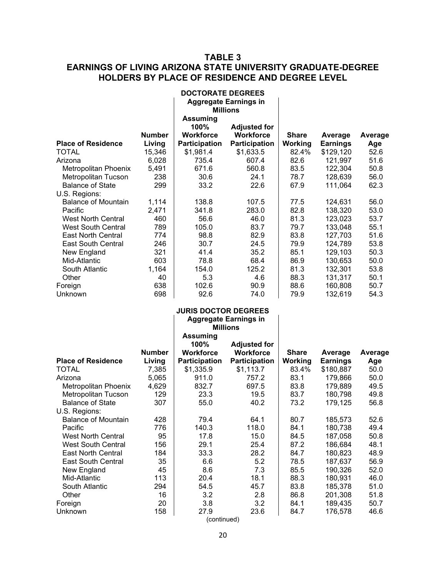## **TABLE 3 EARNINGS OF LIVING ARIZONA STATE UNIVERSITY GRADUATE-DEGREE HOLDERS BY PLACE OF RESIDENCE AND DEGREE LEVEL**

|                                                |               | <b>DOCTORATE DEGREES</b>    |                                         |              |                              |              |
|------------------------------------------------|---------------|-----------------------------|-----------------------------------------|--------------|------------------------------|--------------|
|                                                |               |                             | <b>Aggregate Earnings in</b>            |              |                              |              |
|                                                |               |                             | <b>Millions</b>                         |              |                              |              |
|                                                |               | <b>Assuming</b>             |                                         |              |                              |              |
|                                                | <b>Number</b> | 100%<br><b>Workforce</b>    | <b>Adjusted for</b><br><b>Workforce</b> | <b>Share</b> |                              |              |
| <b>Place of Residence</b>                      | Living        | Participation               | Participation                           | Working      | Average                      | Average      |
| <b>TOTAL</b>                                   | 15,346        | \$1,981.4                   | \$1,633.5                               | 82.4%        | <b>Earnings</b><br>\$129,120 | Age<br>52.6  |
| Arizona                                        | 6,028         | 735.4                       | 607.4                                   | 82.6         | 121,997                      | 51.6         |
| Metropolitan Phoenix                           | 5,491         | 671.6                       | 560.8                                   | 83.5         | 122,304                      | 50.8         |
| Metropolitan Tucson                            | 238           | 30.6                        | 24.1                                    | 78.7         | 128,639                      | 56.0         |
| <b>Balance of State</b>                        | 299           | 33.2                        | 22.6                                    | 67.9         | 111,064                      | 62.3         |
| U.S. Regions:                                  |               |                             |                                         |              |                              |              |
| <b>Balance of Mountain</b>                     | 1,114         | 138.8                       | 107.5                                   | 77.5         | 124,631                      | 56.0         |
| Pacific                                        | 2,471         | 341.8                       | 283.0                                   | 82.8         | 138,320                      | 53.0         |
| <b>West North Central</b>                      | 460           | 56.6                        | 46.0                                    | 81.3         | 123,023                      | 53.7         |
| <b>West South Central</b>                      | 789           | 105.0                       | 83.7                                    | 79.7         | 133,048                      | 55.1         |
| <b>East North Central</b>                      | 774           | 98.8                        | 82.9                                    | 83.8         | 127,703                      | 51.6         |
| <b>East South Central</b>                      | 246           | 30.7                        | 24.5                                    | 79.9         | 124,789                      | 53.8         |
| New England                                    | 321           | 41.4                        | 35.2                                    | 85.1         | 129,103                      | 50.3         |
| Mid-Atlantic                                   | 603           | 78.8                        | 68.4                                    | 86.9         | 130,653                      | 50.0         |
| South Atlantic                                 | 1,164         | 154.0                       | 125.2                                   | 81.3         | 132,301                      | 53.8         |
| Other                                          | 40            | 5.3                         | 4.6                                     | 88.3         | 131,317                      | 50.1         |
| Foreign                                        | 638           | 102.6                       | 90.9                                    | 88.6         | 160,808                      | 50.7         |
| Unknown                                        | 698           | 92.6                        | 74.0                                    | 79.9         | 132,619                      | 54.3         |
|                                                |               | <b>JURIS DOCTOR DEGREES</b> |                                         |              |                              |              |
|                                                |               |                             | <b>Aggregate Earnings in</b>            |              |                              |              |
|                                                |               |                             | <b>Millions</b>                         |              |                              |              |
|                                                |               | <b>Assuming</b>             |                                         |              |                              |              |
|                                                |               | 100%                        | <b>Adjusted for</b>                     |              |                              |              |
|                                                | <b>Number</b> | <b>Workforce</b>            | <b>Workforce</b>                        | <b>Share</b> | Average                      | Average      |
| <b>Place of Residence</b>                      | Living        | Participation               | Participation                           | Working      | <b>Earnings</b>              | Age          |
| <b>TOTAL</b>                                   | 7,385         | \$1,335.9                   | \$1,113.7                               | 83.4%        | \$180,887                    | 50.0         |
| Arizona                                        | 5,065         | 911.0                       | 757.2                                   | 83.1         | 179,866                      | 50.0         |
| Metropolitan Phoenix                           | 4,629<br>129  | 832.7<br>23.3               | 697.5<br>19.5                           | 83.8<br>83.7 | 179,889<br>180,798           | 49.5<br>49.8 |
| Metropolitan Tucson<br><b>Balance of State</b> | 307           | 55.0                        | 40.2                                    | 73.2         | 179,125                      | 56.8         |
| U.S. Regions:                                  |               |                             |                                         |              |                              |              |
| <b>Balance of Mountain</b>                     | 428           | 79.4                        | 64.1                                    | 80.7         | 185,573                      | 52.6         |
| Pacific                                        | 776           | 140.3                       | 118.0                                   | 84.1         | 180,738                      | 49.4         |
| <b>West North Central</b>                      | 95            | 17.8                        | 15.0                                    | 84.5         | 187,058                      | 50.8         |
| <b>West South Central</b>                      | 156           | 29.1                        | 25.4                                    | 87.2         | 186,684                      | 48.1         |
| <b>East North Central</b>                      | 184           | 33.3                        | 28.2                                    | 84.7         | 180,823                      | 48.9         |
| East South Central                             | 35            | 6.6                         | 5.2                                     | 78.5         | 187,637                      | 56.9         |
| New England                                    | 45            | 8.6                         | 7.3                                     | 85.5         | 190,326                      | 52.0         |
| Mid-Atlantic                                   | 113           | 20.4                        | 18.1                                    | 88.3         | 180,931                      | 46.0         |
| South Atlantic                                 | 294           | 54.5                        | 45.7                                    | 83.8         | 185,378                      | 51.0         |
| Other                                          | 16            | 3.2                         | 2.8                                     | 86.8         | 201,308                      | 51.8         |
| Foreign                                        | 20            | 3.8                         | 3.2                                     | 84.1         | 189,435                      | 50.7         |
| Unknown                                        | 158           | 27.9<br>(continued)         | 23.6                                    | 84.7         | 176,578                      | 46.6         |
|                                                |               |                             |                                         |              |                              |              |

20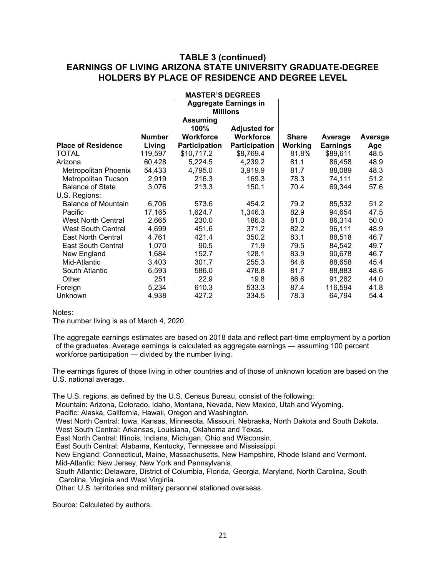## **TABLE 3 (continued) EARNINGS OF LIVING ARIZONA STATE UNIVERSITY GRADUATE-DEGREE HOLDERS BY PLACE OF RESIDENCE AND DEGREE LEVEL**

**MASTER'S DEGREES**

|                            |               | MAJIER J DEUREEJ<br><b>Aggregate Earnings in</b><br><b>Millions</b> |                                         |              |                 |         |
|----------------------------|---------------|---------------------------------------------------------------------|-----------------------------------------|--------------|-----------------|---------|
|                            | <b>Number</b> | <b>Assuming</b><br>100%<br>Workforce                                | <b>Adjusted for</b><br><b>Workforce</b> | <b>Share</b> | Average         | Average |
| <b>Place of Residence</b>  | Living        | <b>Participation</b>                                                | <b>Participation</b>                    | Working      | <b>Earnings</b> | Age     |
| <b>TOTAL</b>               | 119,597       | \$10,717.2                                                          | \$8,769.4                               | 81.8%        | \$89,611        | 48.5    |
| Arizona                    | 60,428        | 5,224.5                                                             | 4,239.2                                 | 81.1         | 86,458          | 48.9    |
| Metropolitan Phoenix       | 54,433        | 4,795.0                                                             | 3,919.9                                 | 81.7         | 88,089          | 48.3    |
| Metropolitan Tucson        | 2,919         | 216.3                                                               | 169.3                                   | 78.3         | 74,111          | 51.2    |
| <b>Balance of State</b>    | 3,076         | 213.3                                                               | 150.1                                   | 70.4         | 69,344          | 57.6    |
| U.S. Regions:              |               |                                                                     |                                         |              |                 |         |
| <b>Balance of Mountain</b> | 6,706         | 573.6                                                               | 454.2                                   | 79.2         | 85,532          | 51.2    |
| Pacific                    | 17,165        | 1,624.7                                                             | 1,346.3                                 | 82.9         | 94,654          | 47.5    |
| <b>West North Central</b>  | 2,665         | 230.0                                                               | 186.3                                   | 81.0         | 86,314          | 50.0    |
| <b>West South Central</b>  | 4,699         | 451.6                                                               | 371.2                                   | 82.2         | 96,111          | 48.9    |
| <b>East North Central</b>  | 4,761         | 421.4                                                               | 350.2                                   | 83.1         | 88,518          | 46.7    |
| <b>East South Central</b>  | 1,070         | 90.5                                                                | 71.9                                    | 79.5         | 84,542          | 49.7    |
| New England                | 1,684         | 152.7                                                               | 128.1                                   | 83.9         | 90,678          | 46.7    |
| Mid-Atlantic               | 3,403         | 301.7                                                               | 255.3                                   | 84.6         | 88,658          | 45.4    |
| South Atlantic             | 6,593         | 586.0                                                               | 478.8                                   | 81.7         | 88,883          | 48.6    |
| Other                      | 251           | 22.9                                                                | 19.8                                    | 86.6         | 91,282          | 44.0    |
| Foreign                    | 5,234         | 610.3                                                               | 533.3                                   | 87.4         | 116,594         | 41.8    |
| Unknown                    | 4,938         | 427.2                                                               | 334.5                                   | 78.3         | 64,794          | 54.4    |

Notes:

The number living is as of March 4, 2020.

The aggregate earnings estimates are based on 2018 data and reflect part-time employment by a portion of the graduates. Average earnings is calculated as aggregate earnings — assuming 100 percent workforce participation — divided by the number living.

The earnings figures of those living in other countries and of those of unknown location are based on the U.S. national average.

The U.S. regions, as defined by the U.S. Census Bureau, consist of the following:

Mountain: Arizona, Colorado, Idaho, Montana, Nevada, New Mexico, Utah and Wyoming.

Pacific: Alaska, California, Hawaii, Oregon and Washington.

West North Central: Iowa, Kansas, Minnesota, Missouri, Nebraska, North Dakota and South Dakota. West South Central: Arkansas, Louisiana, Oklahoma and Texas.

East North Central: Illinois, Indiana, Michigan, Ohio and Wisconsin.

East South Central: Alabama, Kentucky, Tennessee and Mississippi.

New England: Connecticut, Maine, Massachusetts, New Hampshire, Rhode Island and Vermont. Mid-Atlantic: New Jersey, New York and Pennsylvania.

South Atlantic: Delaware, District of Columbia, Florida, Georgia, Maryland, North Carolina, South Carolina, Virginia and West Virginia.

Other: U.S. territories and military personnel stationed overseas.

Source: Calculated by authors.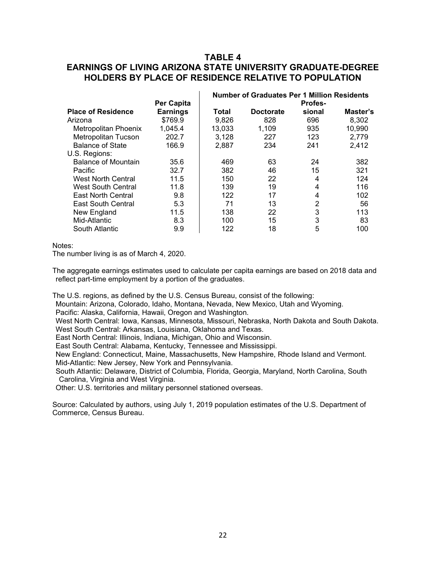## **TABLE 4 EARNINGS OF LIVING ARIZONA STATE UNIVERSITY GRADUATE-DEGREE HOLDERS BY PLACE OF RESIDENCE RELATIVE TO POPULATION**

|                            |                   | <b>Number of Graduates Per 1 Million Residents</b> |                  |         |          |  |
|----------------------------|-------------------|----------------------------------------------------|------------------|---------|----------|--|
|                            | <b>Per Capita</b> |                                                    |                  | Profes- |          |  |
| <b>Place of Residence</b>  | <b>Earnings</b>   | Total                                              | <b>Doctorate</b> | sional  | Master's |  |
| Arizona                    | \$769.9           | 9,826                                              | 828              | 696     | 8,302    |  |
| Metropolitan Phoenix       | 1,045.4           | 13,033                                             | 1,109            | 935     | 10,990   |  |
| <b>Metropolitan Tucson</b> | 202.7             | 3,128                                              | 227              | 123     | 2,779    |  |
| <b>Balance of State</b>    | 166.9             | 2.887                                              | 234              | 241     | 2,412    |  |
| U.S. Regions:              |                   |                                                    |                  |         |          |  |
| <b>Balance of Mountain</b> | 35.6              | 469                                                | 63               | 24      | 382      |  |
| <b>Pacific</b>             | 32.7              | 382                                                | 46               | 15      | 321      |  |
| <b>West North Central</b>  | 11.5              | 150                                                | 22               | 4       | 124      |  |
| West South Central         | 11.8              | 139                                                | 19               | 4       | 116      |  |
| <b>East North Central</b>  | 9.8               | 122                                                | 17               | 4       | 102      |  |
| East South Central         | 5.3               | 71                                                 | 13               | 2       | 56       |  |
| New England                | 11.5              | 138                                                | 22               | 3       | 113      |  |
| Mid-Atlantic               | 8.3               | 100                                                | 15               | 3       | 83       |  |
| South Atlantic             | 9.9               | 122                                                | 18               | 5       | 100      |  |

Notes:

The number living is as of March 4, 2020.

The aggregate earnings estimates used to calculate per capita earnings are based on 2018 data and reflect part-time employment by a portion of the graduates.

The U.S. regions, as defined by the U.S. Census Bureau, consist of the following:

Mountain: Arizona, Colorado, Idaho, Montana, Nevada, New Mexico, Utah and Wyoming.

Pacific: Alaska, California, Hawaii, Oregon and Washington.

West North Central: Iowa, Kansas, Minnesota, Missouri, Nebraska, North Dakota and South Dakota. West South Central: Arkansas, Louisiana, Oklahoma and Texas.

East North Central: Illinois, Indiana, Michigan, Ohio and Wisconsin.

East South Central: Alabama, Kentucky, Tennessee and Mississippi.

New England: Connecticut, Maine, Massachusetts, New Hampshire, Rhode Island and Vermont.

Mid-Atlantic: New Jersey, New York and Pennsylvania.

South Atlantic: Delaware, District of Columbia, Florida, Georgia, Maryland, North Carolina, South Carolina, Virginia and West Virginia.

Other: U.S. territories and military personnel stationed overseas.

Source: Calculated by authors, using July 1, 2019 population estimates of the U.S. Department of Commerce, Census Bureau.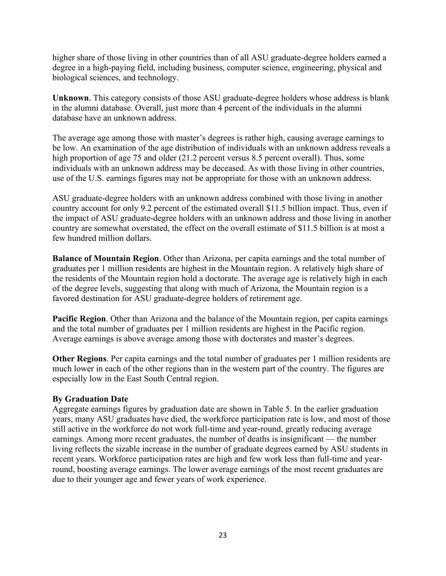higher share of those living in other countries than of all ASU graduate-degree holders earned a degree in a high-paying field, including business, computer science, engineering, physical and biological sciences, and technology.

**Unknown**. This category consists of those ASU graduate-degree holders whose address is blank in the alumni database. Overall, just more than 4 percent of the individuals in the alumni database have an unknown address.

The average age among those with master's degrees is rather high, causing average earnings to be low. An examination of the age distribution of individuals with an unknown address reveals a high proportion of age 75 and older (21.2 percent versus 8.5 percent overall). Thus, some individuals with an unknown address may be deceased. As with those living in other countries, use of the U.S. earnings figures may not be appropriate for those with an unknown address.

ASU graduate-degree holders with an unknown address combined with those living in another country account for only 9.2 percent of the estimated overall \$11.5 billion impact. Thus, even if the impact of ASU graduate-degree holders with an unknown address and those living in another country are somewhat overstated, the effect on the overall estimate of \$11.5 billion is at most a few hundred million dollars.

**Balance of Mountain Region**. Other than Arizona, per capita earnings and the total number of graduates per 1 million residents are highest in the Mountain region. A relatively high share of the residents of the Mountain region hold a doctorate. The average age is relatively high in each of the degree levels, suggesting that along with much of Arizona, the Mountain region is a favored destination for ASU graduate-degree holders of retirement age.

**Pacific Region**. Other than Arizona and the balance of the Mountain region, per capita earnings and the total number of graduates per 1 million residents are highest in the Pacific region. Average earnings is above average among those with doctorates and master's degrees.

**Other Regions**. Per capita earnings and the total number of graduates per 1 million residents are much lower in each of the other regions than in the western part of the country. The figures are especially low in the East South Central region.

## **By Graduation Date**

Aggregate earnings figures by graduation date are shown in Table 5. In the earlier graduation years, many ASU graduates have died, the workforce participation rate is low, and most of those still active in the workforce do not work full-time and year-round, greatly reducing average earnings. Among more recent graduates, the number of deaths is insignificant — the number living reflects the sizable increase in the number of graduate degrees earned by ASU students in recent years. Workforce participation rates are high and few work less than full-time and yearround, boosting average earnings. The lower average earnings of the most recent graduates are due to their younger age and fewer years of work experience.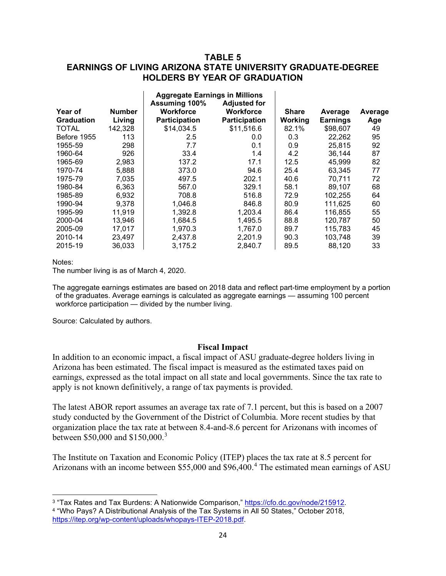## **TABLE 5 EARNINGS OF LIVING ARIZONA STATE UNIVERSITY GRADUATE-DEGREE HOLDERS BY YEAR OF GRADUATION**

|                   |               | <b>Aggregate Earnings in Millions</b> |                      |              |                 |         |
|-------------------|---------------|---------------------------------------|----------------------|--------------|-----------------|---------|
|                   |               | Assuming 100%                         | <b>Adjusted for</b>  |              |                 |         |
| Year of           | <b>Number</b> | <b>Workforce</b>                      | <b>Workforce</b>     | <b>Share</b> | Average         | Average |
| <b>Graduation</b> | Living        | <b>Participation</b>                  | <b>Participation</b> | Working      | <b>Earnings</b> | Age     |
| <b>TOTAL</b>      | 142,328       | \$14,034.5                            | \$11,516.6           | 82.1%        | \$98,607        | 49      |
| Before 1955       | 113           | 2.5                                   | 0.0                  | 0.3          | 22,262          | 95      |
| 1955-59           | 298           | 7.7                                   | 0.1                  | 0.9          | 25,815          | 92      |
| 1960-64           | 926           | 33.4                                  | 1.4                  | 4.2          | 36,144          | 87      |
| 1965-69           | 2,983         | 137.2                                 | 17.1                 | 12.5         | 45.999          | 82      |
| 1970-74           | 5,888         | 373.0                                 | 94.6                 | 25.4         | 63,345          | 77      |
| 1975-79           | 7,035         | 497.5                                 | 202.1                | 40.6         | 70.711          | 72      |
| 1980-84           | 6,363         | 567.0                                 | 329.1                | 58.1         | 89,107          | 68      |
| 1985-89           | 6,932         | 708.8                                 | 516.8                | 72.9         | 102,255         | 64      |
| 1990-94           | 9,378         | 1,046.8                               | 846.8                | 80.9         | 111,625         | 60      |
| 1995-99           | 11,919        | 1,392.8                               | 1,203.4              | 86.4         | 116,855         | 55      |
| 2000-04           | 13,946        | 1,684.5                               | 1,495.5              | 88.8         | 120.787         | 50      |
| 2005-09           | 17.017        | 1,970.3                               | 1.767.0              | 89.7         | 115.783         | 45      |
| 2010-14           | 23,497        | 2,437.8                               | 2,201.9              | 90.3         | 103,748         | 39      |
| 2015-19           | 36.033        | 3,175.2                               | 2,840.7              | 89.5         | 88,120          | 33      |

Notes:

The number living is as of March 4, 2020.

The aggregate earnings estimates are based on 2018 data and reflect part-time employment by a portion of the graduates. Average earnings is calculated as aggregate earnings — assuming 100 percent workforce participation — divided by the number living.

Source: Calculated by authors.

#### **Fiscal Impact**

In addition to an economic impact, a fiscal impact of ASU graduate-degree holders living in Arizona has been estimated. The fiscal impact is measured as the estimated taxes paid on earnings, expressed as the total impact on all state and local governments. Since the tax rate to apply is not known definitively, a range of tax payments is provided.

The latest ABOR report assumes an average tax rate of 7.1 percent, but this is based on a 2007 study conducted by the Government of the District of Columbia. More recent studies by that organization place the tax rate at between 8.4-and-8.6 percent for Arizonans with incomes of between \$50,000 and \$150,000.<sup>[3](#page-24-0)</sup>

The Institute on Taxation and Economic Policy (ITEP) places the tax rate at 8.5 percent for Arizonans with an income between \$55,000 and \$96,400.[4](#page-24-1) The estimated mean earnings of ASU

<span id="page-24-1"></span><span id="page-24-0"></span><sup>3</sup> "Tax Rates and Tax Burdens: A Nationwide Comparison," [https://cfo.dc.gov/node/215912.](https://cfo.dc.gov/node/215912) <sup>4</sup> "Who Pays? A Distributional Analysis of the Tax Systems in All 50 States," October 2018, [https://itep.org/wp-content/uploads/whopays-ITEP-2018.pdf.](https://itep.org/wp-content/uploads/whopays-ITEP-2018.pdf)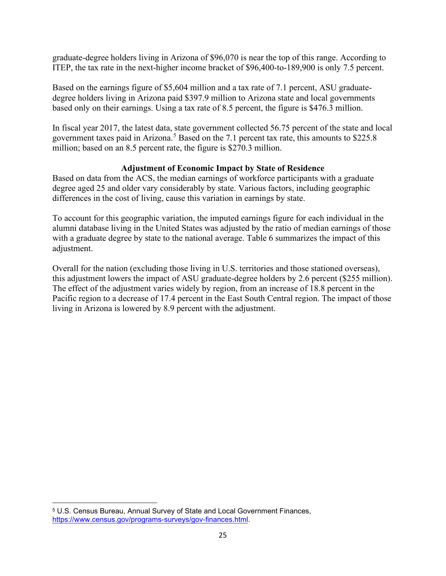graduate-degree holders living in Arizona of \$96,070 is near the top of this range. According to ITEP, the tax rate in the next-higher income bracket of \$96,400-to-189,900 is only 7.5 percent.

Based on the earnings figure of \$5,604 million and a tax rate of 7.1 percent, ASU graduatedegree holders living in Arizona paid \$397.9 million to Arizona state and local governments based only on their earnings. Using a tax rate of 8.5 percent, the figure is \$476.3 million.

In fiscal year 2017, the latest data, state government collected 56.75 percent of the state and local government taxes paid in Arizona.<sup>[5](#page-25-0)</sup> Based on the 7.1 percent tax rate, this amounts to \$225.8 million; based on an 8.5 percent rate, the figure is \$270.3 million.

## **Adjustment of Economic Impact by State of Residence**

Based on data from the ACS, the median earnings of workforce participants with a graduate degree aged 25 and older vary considerably by state. Various factors, including geographic differences in the cost of living, cause this variation in earnings by state.

To account for this geographic variation, the imputed earnings figure for each individual in the alumni database living in the United States was adjusted by the ratio of median earnings of those with a graduate degree by state to the national average. Table 6 summarizes the impact of this adjustment.

Overall for the nation (excluding those living in U.S. territories and those stationed overseas), this adjustment lowers the impact of ASU graduate-degree holders by 2.6 percent (\$255 million). The effect of the adjustment varies widely by region, from an increase of 18.8 percent in the Pacific region to a decrease of 17.4 percent in the East South Central region. The impact of those living in Arizona is lowered by 8.9 percent with the adjustment.

<span id="page-25-0"></span><sup>5</sup> U.S. Census Bureau, Annual Survey of State and Local Government Finances, [https://www.census.gov/programs-surveys/gov-finances.html.](https://www.census.gov/programs-surveys/gov-finances.html)